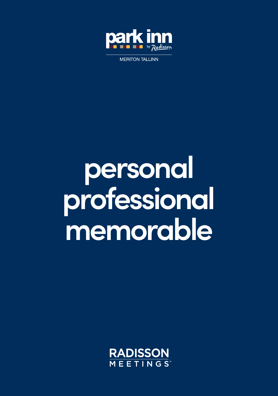

**MERITON TALLINN** 

# **personal professional memorable**

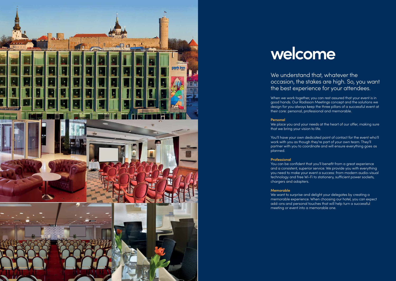

## **welcome**

We understand that, whatever the occasion, the stakes are high. So, you want the best experience for your attendees.

When we work together, you can rest assured that your event is in good hands. Our Radisson Meetings concept and the solutions we design for you always keep the three pillars of a successful event at their core: personal, professional and memorable.

#### **Personal**

We place you and your needs at the heart of our offer, making sure that we bring your vision to life.

You'll have your own dedicated point of contact for the event who'll work with you as though they're part of your own team. They'll partner with you to coordinate and will ensure everything goes as planned.

#### **Professional**

You can be confident that you'll benefit from a great experience and a consistent, superior service. We provide you with everything you need to make your event a success: from modern audio-visual technology and free Wi-Fi to stationery, sufficient power sockets, chargers and adapters.

#### **Memorable**

We want to surprise and delight your delegates by creating a memorable experience. When choosing our hotel, you can expect add-ons and personal touches that will help turn a successful meeting or event into a memorable one.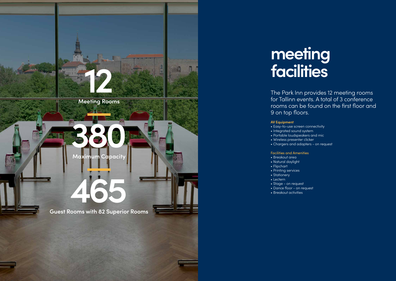

## **meeting facilities**

The Park Inn provides 12 meeting rooms for Tallinn events. A total of 3 conference rooms can be found on the first floor and 9 on top floors.

#### **AV Equipment**

- Easy-to-use screen connectivity
- Integrated sound system
- Portable loudspeakers and mic
- Wireless presenter clicker
- Chargers and adapters on request

#### Facilities and Amenities

- Breakout area
- Natural daylight
- Flipchart
- Printing services
- Stationery
- Lectern
- Stage on request
- Dance floor on request
- Breakout activities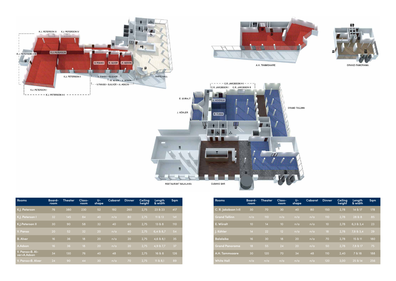

| <b>Rooms</b>                   | Board-<br>room | <b>Theater</b> | Class-<br>room | U-<br>shape | <b>Cabaret</b> | <b>Dinner</b> | <b>Ceiling</b><br>height | Length<br>& width | Sqm |
|--------------------------------|----------------|----------------|----------------|-------------|----------------|---------------|--------------------------|-------------------|-----|
| K.J. Peterson                  | 76             | 380            | 230            | 52          | 192            | 260           | 2,75                     | 23 & 23           | 417 |
| K.J. Peterson I                | 32             | 145            | 84             | 40          | n/a            | 80            | 2,75                     | 11 & 213          | 141 |
| K.J. Peterson II               | 30             | 90             | 58             | 32          | 40             | 60            | 2,75                     | 13 & 8            | 110 |
| V. Panso                       | 20             | 52             | 32             | 20          | n/a            | 40            | 2,75                     | 6,4 & 8,7         | 54  |
| <b>B.</b> Alver                | 16             | 36             | 18             | 20          | n/a            | 20            | 2,75                     | $4,6$ & $8,1$     | 35  |
| A.Adson                        | 16             | 36             | 18             | 20          | n/a            | 20            | 2,75                     | $4.9 \& 7.7$      | 37  |
| V. Panso+B. Al-<br>ver+A.Adson | 34             | 130            | 76             | 40          | 48             | 90            | 2,75                     | $16 \& 8$         | 126 |
| V. Panso+B. Alver              | 24             | 90             | 44             | 30          | n/a            | 70            | 2,75                     | 11 & 8.1          | 89  |

| <b>Rooms</b>          | Board-<br>room | <b>Theater</b> | Class-<br>room | U-<br>shape | Cabaret | <b>Dinner</b> | <b>Ceiling</b><br>height | Length<br>& width | Sqm |
|-----------------------|----------------|----------------|----------------|-------------|---------|---------------|--------------------------|-------------------|-----|
| C. R. Jakobson I+II   | 30             | 70             | 30             | 40          | 80      | 150           | 2,78                     | 14 & 17           | 178 |
| <b>Grand Tallinn</b>  | n/a            | 110            | n/a            | n/a         | n/a     | 110           | 2,78                     | 2888              | 85  |
| E. Wiiralt            | 10             | 14             | 10             | n/a         | n/a     | 10            | 2,78                     | 6,363,4           | 23  |
| I. Köhler             | 14             | 22             | 12             | n/a         | n/a     | 18            | 2,78                     | 7,8 & 3,4         | 29  |
| <b>Balalaika</b>      | 16             | 30             | 18             | 20          | n/a     | 70            | 2,78                     | 15 & 11           | 180 |
| <b>Grand Panorama</b> | 18             | 55             | 24             | 20          | n/a     | 50            | 2,78                     | 7,8 & 17          | 75  |
| A.H. Tammsaare        | 30             | 120            | 70             | 34          | 48      | 110           | 2,40                     | 7 & 18            | 188 |
| <b>White Hall</b>     | n/a            | n/a            | n/a            | n/a         | n/a     | 120           | 3,00                     | 25 & 14           | 256 |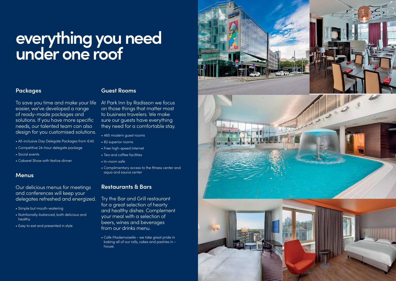## **everything you need under one roof**

### **Packages**

**Guest Rooms**

To save you time and make your life easier, we've developed a range of ready-made packages and solutions. If you have more specific needs, our talented team can also design for you customised solutions.

- All-inclusive Day Delegate Packages from €40
- Competitive 24-hour delegate package
- Social events
- Cabaret Show with festive dinner

### **Menus**

Our delicious menus for meetings and conferences will keep your delegates refreshed and energized.

- Simple but mouth-watering
- Nutritionally-balanced, both delicious and healthy
- Easy to eat and presented in style

### At Park Inn by Radisson we focus on those things that matter most to business travelers. We make sure our guests have everything they need for a comfortable stay.

- 465 modern guest rooms
- 82 superior rooms
- Free high-speed Internet
- Tea and coffee facilities
- In-room safe
- Complimentary access to the fitness center and aqua and sauna center

## **Restaurants & Bars**

Try the Bar and Grill restaurant for a great selection of hearty and healthy dishes. Complement your meal with a selection of beers, wines and beverages from our drinks menu.

• Cafe Mademoiselle - we take great pride in baking all of our rolls, cakes and pastries in house.